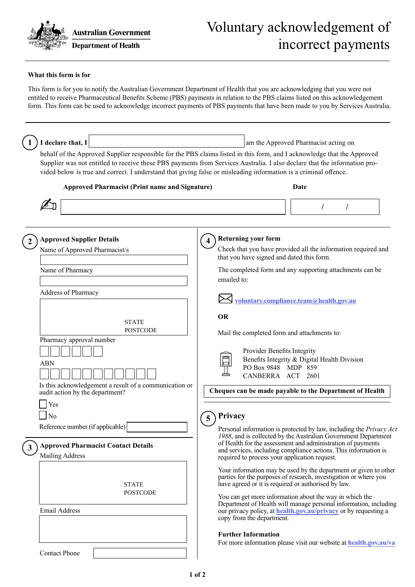

## Voluntary acknowledgement of incorrect payments

## **What this form is for**

This form is for you to notify the Australian Government Department of Health that you are acknowledging that you were not entitled to receive Pharmaceutical Benefits Scheme (PBS) payments in relation to the PBS claims listed on this acknowledgement form. This form can be used to acknowledge incorrect payments of PBS payments that have been made to you by Services Australia.

| I declare that, I                                                                                                                                                                                                                                                                                                                                                                                                                                                   | am the Approved Pharmacist acting on                                                                                                                                                                                                                                                                                                                                                                                                                                                                                                                                                                                                                                                                                                                                                                                                                                                                                                                                                                                                                                                                                                                                                                                                                                                                                                                                                                                     |
|---------------------------------------------------------------------------------------------------------------------------------------------------------------------------------------------------------------------------------------------------------------------------------------------------------------------------------------------------------------------------------------------------------------------------------------------------------------------|--------------------------------------------------------------------------------------------------------------------------------------------------------------------------------------------------------------------------------------------------------------------------------------------------------------------------------------------------------------------------------------------------------------------------------------------------------------------------------------------------------------------------------------------------------------------------------------------------------------------------------------------------------------------------------------------------------------------------------------------------------------------------------------------------------------------------------------------------------------------------------------------------------------------------------------------------------------------------------------------------------------------------------------------------------------------------------------------------------------------------------------------------------------------------------------------------------------------------------------------------------------------------------------------------------------------------------------------------------------------------------------------------------------------------|
| vided below is true and correct. I understand that giving false or misleading information is a criminal offence.                                                                                                                                                                                                                                                                                                                                                    | behalf of the Approved Supplier responsible for the PBS claims listed in this form, and I acknowledge that the Approved<br>Supplier was not entitled to receive these PBS payments from Services Australia. I also declare that the information pro-                                                                                                                                                                                                                                                                                                                                                                                                                                                                                                                                                                                                                                                                                                                                                                                                                                                                                                                                                                                                                                                                                                                                                                     |
| <b>Approved Pharmacist (Print name and Signature)</b>                                                                                                                                                                                                                                                                                                                                                                                                               | Date                                                                                                                                                                                                                                                                                                                                                                                                                                                                                                                                                                                                                                                                                                                                                                                                                                                                                                                                                                                                                                                                                                                                                                                                                                                                                                                                                                                                                     |
|                                                                                                                                                                                                                                                                                                                                                                                                                                                                     |                                                                                                                                                                                                                                                                                                                                                                                                                                                                                                                                                                                                                                                                                                                                                                                                                                                                                                                                                                                                                                                                                                                                                                                                                                                                                                                                                                                                                          |
| <b>Approved Supplier Details</b><br>Name of Approved Pharmacist/s<br>Name of Pharmacy<br>Address of Pharmacy<br><b>STATE</b><br><b>POSTCODE</b><br>Pharmacy approval number<br><b>ABN</b><br>Is this acknowledgement a result of a communication or<br>audit action by the department?<br>Yes<br>No<br>Reference number (if applicable)<br><b>Approved Pharmacist Contact Details</b><br>Mailing Address<br><b>STATE</b><br><b>POSTCODE</b><br><b>Email Address</b> | <b>Returning your form</b><br>$\overline{\mathbf{4}}$<br>Check that you have provided all the information required and<br>that you have signed and dated this form.<br>The completed form and any supporting attachments can be<br>emailed to:<br>voluntary.compliance.team@health.gov.au<br><b>OR</b><br>Mail the completed form and attachments to:<br>Provider Benefits Integrity<br>Benefits Integrity & Digital Health Division<br>PO Box 9848 MDP 859<br>CANBERRA ACT 2601<br>Cheques can be made payable to the Department of Health<br>Privacy<br>5<br>Personal information is protected by law, including the Privacy Act<br>1988, and is collected by the Australian Government Department<br>of Health for the assessment and administration of payments<br>and services, including compliance actions. This information is<br>required to process your application request.<br>Your information may be used by the department or given to other<br>parties for the purposes of research, investigation or where you<br>have agreed or it is required or authorised by law.<br>You can get more information about the way in which the<br>Department of Health will manage personal information, including<br>our privacy policy, at health.gov.au/privacy or by requesting a<br>copy from the department.<br><b>Further Information</b><br>For more information please visit our website at health.gov.au/va |
| <b>Contact Phone</b>                                                                                                                                                                                                                                                                                                                                                                                                                                                |                                                                                                                                                                                                                                                                                                                                                                                                                                                                                                                                                                                                                                                                                                                                                                                                                                                                                                                                                                                                                                                                                                                                                                                                                                                                                                                                                                                                                          |